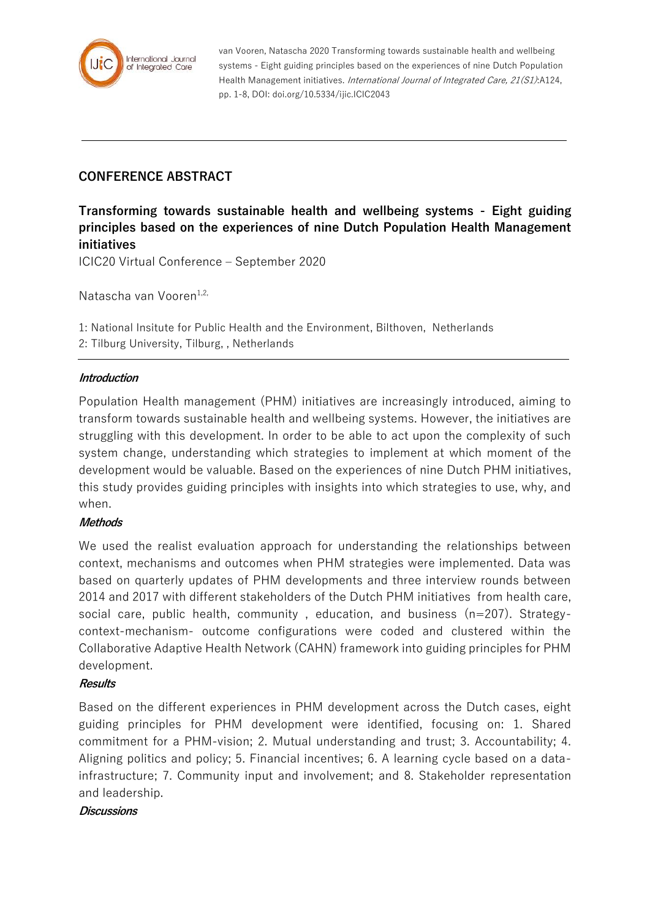

van Vooren, Natascha 2020 Transforming towards sustainable health and wellbeing systems - Eight guiding principles based on the experiences of nine Dutch Population Health Management initiatives. International Journal of Integrated Care, 21(S1):A124, pp. 1-8, DOI: doi.org/10.5334/ijic.ICIC2043

# **CONFERENCE ABSTRACT**

**Transforming towards sustainable health and wellbeing systems - Eight guiding principles based on the experiences of nine Dutch Population Health Management initiatives**

ICIC20 Virtual Conference – September 2020

Natascha van Vooren $1,2$ ,

1: National Insitute for Public Health and the Environment, Bilthoven, Netherlands 2: Tilburg University, Tilburg, , Netherlands

### **Introduction**

Population Health management (PHM) initiatives are increasingly introduced, aiming to transform towards sustainable health and wellbeing systems. However, the initiatives are struggling with this development. In order to be able to act upon the complexity of such system change, understanding which strategies to implement at which moment of the development would be valuable. Based on the experiences of nine Dutch PHM initiatives, this study provides guiding principles with insights into which strategies to use, why, and when.

## **Methods**

We used the realist evaluation approach for understanding the relationships between context, mechanisms and outcomes when PHM strategies were implemented. Data was based on quarterly updates of PHM developments and three interview rounds between 2014 and 2017 with different stakeholders of the Dutch PHM initiatives from health care, social care, public health, community , education, and business (n=207). Strategycontext-mechanism- outcome configurations were coded and clustered within the Collaborative Adaptive Health Network (CAHN) framework into guiding principles for PHM development.

## **Results**

Based on the different experiences in PHM development across the Dutch cases, eight guiding principles for PHM development were identified, focusing on: 1. Shared commitment for a PHM-vision; 2. Mutual understanding and trust; 3. Accountability; 4. Aligning politics and policy; 5. Financial incentives; 6. A learning cycle based on a datainfrastructure; 7. Community input and involvement; and 8. Stakeholder representation and leadership.

#### **Discussions**